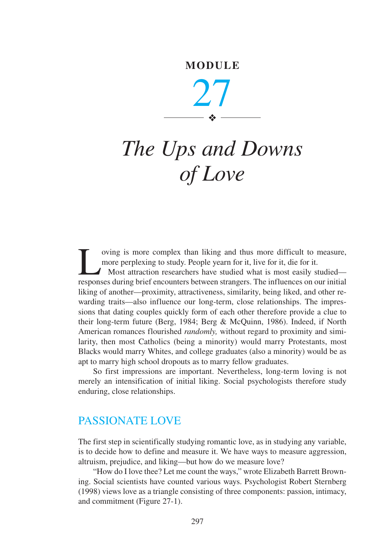## **MODULE**

27

# *The Ups and Downs of Love*

I oving is more complex than liking and thus more difficult to measure, more perplexing to study. People yearn for it, live for it, die for it.<br>Most attraction researchers have studied what is most easily studied—<br>response more perplexing to study. People yearn for it, live for it, die for it. Most attraction researchers have studied what is most easily studied liking of another—proximity, attractiveness, similarity, being liked, and other rewarding traits—also influence our long-term, close relationships. The impressions that dating couples quickly form of each other therefore provide a clue to their long-term future (Berg, 1984; Berg & McQuinn, 1986). Indeed, if North American romances flourished *randomly,* without regard to proximity and similarity, then most Catholics (being a minority) would marry Protestants, most Blacks would marry Whites, and college graduates (also a minority) would be as apt to marry high school dropouts as to marry fellow graduates.

So first impressions are important. Nevertheless, long-term loving is not merely an intensification of initial liking. Social psychologists therefore study enduring, close relationships.

# PASSIONATE LOVE

The first step in scientifically studying romantic love, as in studying any variable, is to decide how to define and measure it. We have ways to measure aggression, altruism, prejudice, and liking—but how do we measure love?

"How do I love thee? Let me count the ways," wrote Elizabeth Barrett Browning. Social scientists have counted various ways. Psychologist Robert Sternberg (1998) views love as a triangle consisting of three components: passion, intimacy, and commitment (Figure 27-1).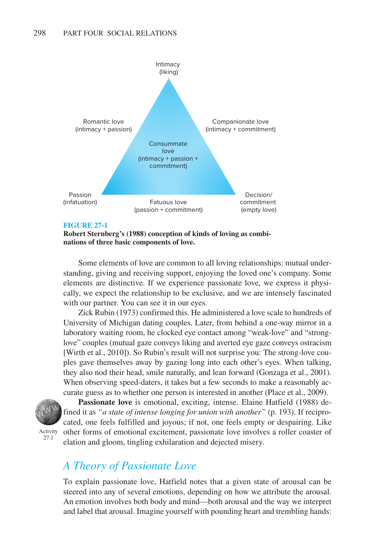

**Robert Sternberg's (1988) conception of kinds of loving as combinations of three basic components of love.**

Some elements of love are common to all loving relationships: mutual understanding, giving and receiving support, enjoying the loved one's company. Some elements are distinctive. If we experience passionate love, we express it physically, we expect the relationship to be exclusive, and we are intensely fascinated with our partner. You can see it in our eyes.

Zick Rubin (1973) confirmed this. He administered a love scale to hundreds of University of Michigan dating couples. Later, from behind a one-way mirror in a laboratory waiting room, he clocked eye contact among "weak-love" and "stronglove" couples (mutual gaze conveys liking and averted eye gaze conveys ostracism [Wirth et al., 2010]). So Rubin's result will not surprise you: The strong-love couples gave themselves away by gazing long into each other's eyes. When talking, they also nod their head, smile naturally, and lean forward (Gonzaga et al., 2001). When observing speed-daters, it takes but a few seconds to make a reasonably accurate guess as to whether one person is interested in another (Place et al., 2009).



Activity 27.1

**Passionate love** is emotional, exciting, intense. Elaine Hatfield (1988) defined it as *"a state of intense longing for union with another"* (p. 193). If reciprocated, one feels fulfilled and joyous; if not, one feels empty or despairing. Like other forms of emotional excitement, passionate love involves a roller coaster of elation and gloom, tingling exhilaration and dejected misery.

# *A Theory of Passionate Love*

To explain passionate love, Hatfield notes that a given state of arousal can be steered into any of several emotions, depending on how we attribute the arousal. An emotion involves both body and mind—both arousal and the way we interpret and label that arousal. Imagine yourself with pounding heart and trembling hands: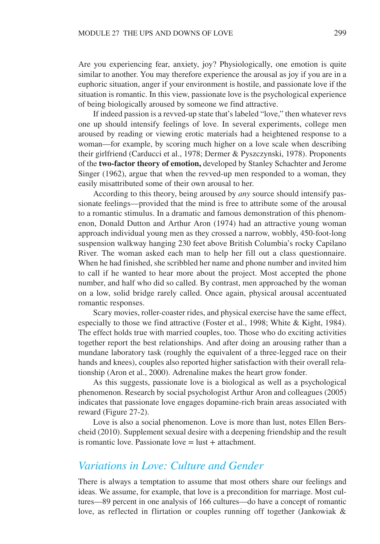Are you experiencing fear, anxiety, joy? Physiologically, one emotion is quite similar to another. You may therefore experience the arousal as joy if you are in a euphoric situation, anger if your environment is hostile, and passionate love if the situation is romantic. In this view, passionate love is the psychological experience of being biologically aroused by someone we find attractive.

If indeed passion is a revved-up state that's labeled "love," then whatever revs one up should intensify feelings of love. In several experiments, college men aroused by reading or viewing erotic materials had a heightened response to a woman—for example, by scoring much higher on a love scale when describing their girlfriend (Carducci et al., 1978; Dermer & Pyszczynski, 1978). Proponents of the **two-factor theory of emotion,** developed by Stanley Schachter and Jerome Singer (1962), argue that when the revved-up men responded to a woman, they easily misattributed some of their own arousal to her.

According to this theory, being aroused by *any* source should intensify passionate feelings—provided that the mind is free to attribute some of the arousal to a romantic stimulus. In a dramatic and famous demonstration of this phenomenon, Donald Dutton and Arthur Aron (1974) had an attractive young woman approach individual young men as they crossed a narrow, wobbly, 450-foot-long suspension walkway hanging 230 feet above British Columbia's rocky Capilano River. The woman asked each man to help her fill out a class questionnaire. When he had finished, she scribbled her name and phone number and invited him to call if he wanted to hear more about the project. Most accepted the phone number, and half who did so called. By contrast, men approached by the woman on a low, solid bridge rarely called. Once again, physical arousal accentuated romantic responses.

Scary movies, roller-coaster rides, and physical exercise have the same effect, especially to those we find attractive (Foster et al., 1998; White & Kight, 1984). The effect holds true with married couples, too. Those who do exciting activities together report the best relationships. And after doing an arousing rather than a mundane laboratory task (roughly the equivalent of a three-legged race on their hands and knees), couples also reported higher satisfaction with their overall relationship (Aron et al., 2000). Adrenaline makes the heart grow fonder.

As this suggests, passionate love is a biological as well as a psychological phenomenon. Research by social psychologist Arthur Aron and colleagues (2005) indicates that passionate love engages dopamine-rich brain areas associated with reward (Figure 27-2).

Love is also a social phenomenon. Love is more than lust, notes Ellen Berscheid (2010). Supplement sexual desire with a deepening friendship and the result is romantic love. Passionate love  $=$  lust  $+$  attachment.

## *Variations in Love: Culture and Gender*

There is always a temptation to assume that most others share our feelings and ideas. We assume, for example, that love is a precondition for marriage. Most cultures—89 percent in one analysis of 166 cultures—do have a concept of romantic love, as reflected in flirtation or couples running off together (Jankowiak &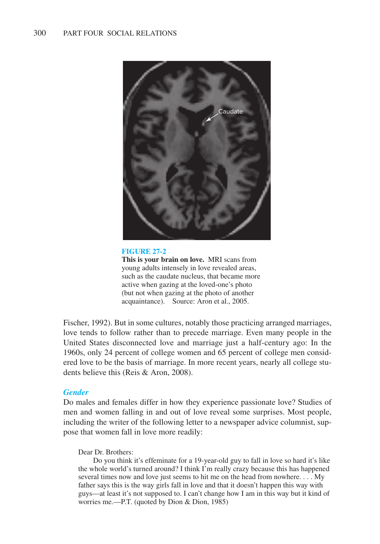

**This is your brain on love.** MRI scans from young adults intensely in love revealed areas, such as the caudate nucleus, that became more active when gazing at the loved-one's photo (but not when gazing at the photo of another acquaintance). Source: Aron et al., 2005.

Fischer, 1992). But in some cultures, notably those practicing arranged marriages, love tends to follow rather than to precede marriage. Even many people in the United States disconnected love and marriage just a half-century ago: In the 1960s, only 24 percent of college women and 65 percent of college men considered love to be the basis of marriage. In more recent years, nearly all college students believe this (Reis & Aron, 2008).

#### *Gender*

Do males and females differ in how they experience passionate love? Studies of men and women falling in and out of love reveal some surprises. Most people, including the writer of the following letter to a newspaper advice columnist, suppose that women fall in love more readily:

#### Dear Dr. Brothers:

Do you think it's effeminate for a 19-year-old guy to fall in love so hard it's like the whole world's turned around? I think I'm really crazy because this has happened several times now and love just seems to hit me on the head from nowhere. . . . My father says this is the way girls fall in love and that it doesn't happen this way with guys—at least it's not supposed to. I can't change how I am in this way but it kind of worries me.—P.T. (quoted by Dion & Dion, 1985)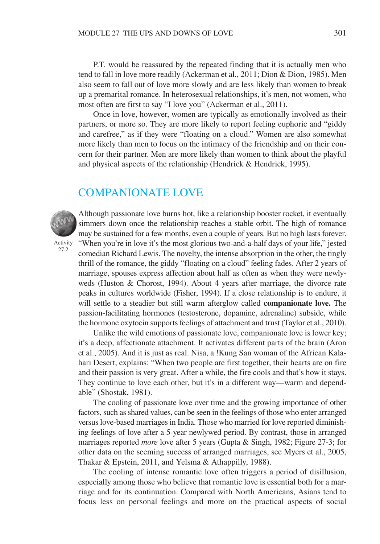P.T. would be reassured by the repeated finding that it is actually men who tend to fall in love more readily (Ackerman et al., 2011; Dion & Dion, 1985). Men also seem to fall out of love more slowly and are less likely than women to break up a premarital romance. In heterosexual relationships, it's men, not women, who most often are first to say "I love you" (Ackerman et al., 2011).

Once in love, however, women are typically as emotionally involved as their partners, or more so. They are more likely to report feeling euphoric and "giddy and carefree," as if they were "floating on a cloud." Women are also somewhat more likely than men to focus on the intimacy of the friendship and on their concern for their partner. Men are more likely than women to think about the playful and physical aspects of the relationship (Hendrick & Hendrick, 1995).

## COMPANIONATE LOVE



Activity 27.2

Although passionate love burns hot, like a relationship booster rocket, it eventually simmers down once the relationship reaches a stable orbit. The high of romance may be sustained for a few months, even a couple of years. But no high lasts forever. "When you're in love it's the most glorious two-and-a-half days of your life," jested comedian Richard Lewis. The novelty, the intense absorption in the other, the tingly thrill of the romance, the giddy "floating on a cloud" feeling fades. After 2 years of marriage, spouses express affection about half as often as when they were newlyweds (Huston & Chorost, 1994). About 4 years after marriage, the divorce rate peaks in cultures worldwide (Fisher, 1994). If a close relationship is to endure, it will settle to a steadier but still warm afterglow called **companionate love.** The passion-facilitating hormones (testosterone, dopamine, adrenaline) subside, while the hormone oxytocin supports feelings of attachment and trust (Taylor et al., 2010).

Unlike the wild emotions of passionate love, companionate love is lower key; it's a deep, affectionate attachment. It activates different parts of the brain (Aron et al., 2005). And it is just as real. Nisa, a !Kung San woman of the African Kalahari Desert, explains: "When two people are first together, their hearts are on fire and their passion is very great. After a while, the fire cools and that's how it stays. They continue to love each other, but it's in a different way—warm and dependable" (Shostak, 1981).

The cooling of passionate love over time and the growing importance of other factors, such as shared values, can be seen in the feelings of those who enter arranged versus love-based marriages in India. Those who married for love reported diminishing feelings of love after a 5-year newlywed period. By contrast, those in arranged marriages reported *more* love after 5 years (Gupta & Singh, 1982; Figure 27-3; for other data on the seeming success of arranged marriages, see Myers et al., 2005, Thakar & Epstein, 2011, and Yelsma & Athappilly, 1988).

The cooling of intense romantic love often triggers a period of disillusion, especially among those who believe that romantic love is essential both for a marriage and for its continuation. Compared with North Americans, Asians tend to focus less on personal feelings and more on the practical aspects of social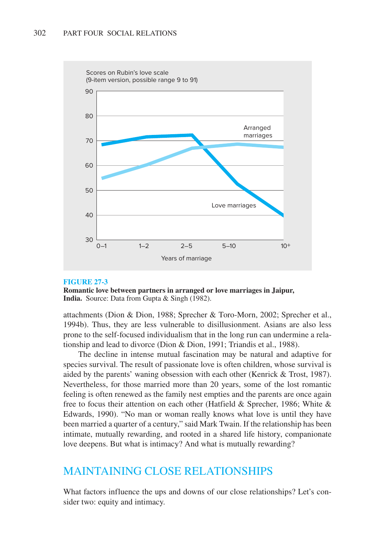

**Romantic love between partners in arranged or love marriages in Jaipur, India.** Source: Data from Gupta & Singh (1982).

attachments (Dion & Dion, 1988; Sprecher & Toro-Morn, 2002; Sprecher et al., 1994b). Thus, they are less vulnerable to disillusionment. Asians are also less prone to the self-focused individualism that in the long run can undermine a relationship and lead to divorce (Dion & Dion, 1991; Triandis et al., 1988).

The decline in intense mutual fascination may be natural and adaptive for species survival. The result of passionate love is often children, whose survival is aided by the parents' waning obsession with each other (Kenrick & Trost, 1987). Nevertheless, for those married more than 20 years, some of the lost romantic feeling is often renewed as the family nest empties and the parents are once again free to focus their attention on each other (Hatfield  $\&$  Sprecher, 1986; White  $\&$ Edwards, 1990). "No man or woman really knows what love is until they have been married a quarter of a century," said Mark Twain. If the relationship has been intimate, mutually rewarding, and rooted in a shared life history, companionate love deepens. But what is intimacy? And what is mutually rewarding?

# MAINTAINING CLOSE RELATIONSHIPS

What factors influence the ups and downs of our close relationships? Let's consider two: equity and intimacy.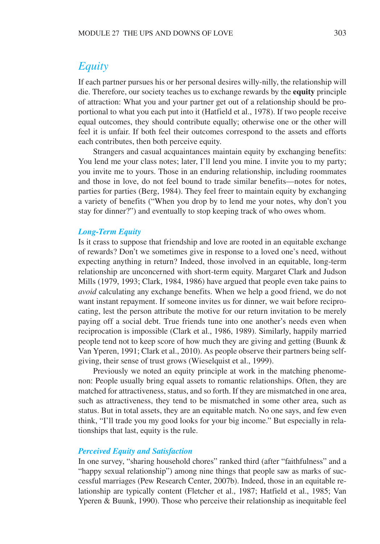# *Equity*

If each partner pursues his or her personal desires willy-nilly, the relationship will die. Therefore, our society teaches us to exchange rewards by the **equity** principle of attraction: What you and your partner get out of a relationship should be proportional to what you each put into it (Hatfield et al., 1978). If two people receive equal outcomes, they should contribute equally; otherwise one or the other will feel it is unfair. If both feel their outcomes correspond to the assets and efforts each contributes, then both perceive equity.

Strangers and casual acquaintances maintain equity by exchanging benefits: You lend me your class notes; later, I'll lend you mine. I invite you to my party; you invite me to yours. Those in an enduring relationship, including roommates and those in love, do not feel bound to trade similar benefits—notes for notes, parties for parties (Berg, 1984). They feel freer to maintain equity by exchanging a variety of benefits ("When you drop by to lend me your notes, why don't you stay for dinner?") and eventually to stop keeping track of who owes whom.

#### *Long-Term Equity*

Is it crass to suppose that friendship and love are rooted in an equitable exchange of rewards? Don't we sometimes give in response to a loved one's need, without expecting anything in return? Indeed, those involved in an equitable, long-term relationship are unconcerned with short-term equity. Margaret Clark and Judson Mills (1979, 1993; Clark, 1984, 1986) have argued that people even take pains to *avoid* calculating any exchange benefits. When we help a good friend, we do not want instant repayment. If someone invites us for dinner, we wait before reciprocating, lest the person attribute the motive for our return invitation to be merely paying off a social debt. True friends tune into one another's needs even when reciprocation is impossible (Clark et al., 1986, 1989). Similarly, happily married people tend not to keep score of how much they are giving and getting (Buunk & Van Yperen, 1991; Clark et al., 2010). As people observe their partners being selfgiving, their sense of trust grows (Wieselquist et al., 1999).

Previously we noted an equity principle at work in the matching phenomenon: People usually bring equal assets to romantic relationships. Often, they are matched for attractiveness, status, and so forth. If they are mismatched in one area, such as attractiveness, they tend to be mismatched in some other area, such as status. But in total assets, they are an equitable match. No one says, and few even think, "I'll trade you my good looks for your big income." But especially in relationships that last, equity is the rule.

## *Perceived Equity and Satisfaction*

In one survey, "sharing household chores" ranked third (after "faithfulness" and a "happy sexual relationship") among nine things that people saw as marks of successful marriages (Pew Research Center, 2007b). Indeed, those in an equitable relationship are typically content (Fletcher et al., 1987; Hatfield et al., 1985; Van Yperen & Buunk, 1990). Those who perceive their relationship as inequitable feel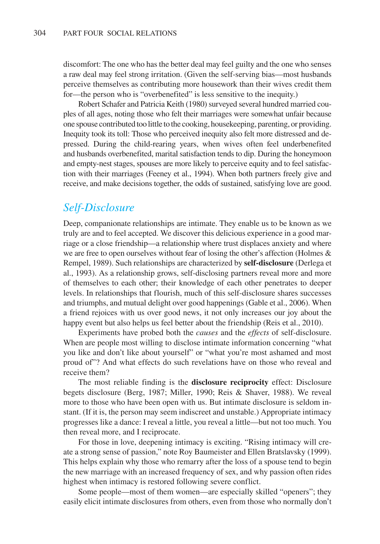discomfort: The one who has the better deal may feel guilty and the one who senses a raw deal may feel strong irritation. (Given the self-serving bias—most husbands perceive themselves as contributing more housework than their wives credit them for—the person who is "overbenefited" is less sensitive to the inequity.)

Robert Schafer and Patricia Keith (1980) surveyed several hundred married couples of all ages, noting those who felt their marriages were somewhat unfair because one spouse contributed too little to the cooking, housekeeping, parenting, or providing. Inequity took its toll: Those who perceived inequity also felt more distressed and depressed. During the child-rearing years, when wives often feel underbenefited and husbands overbenefited, marital satisfaction tends to dip. During the honeymoon and empty-nest stages, spouses are more likely to perceive equity and to feel satisfaction with their marriages (Feeney et al., 1994). When both partners freely give and receive, and make decisions together, the odds of sustained, satisfying love are good.

## *Self-Disclosure*

Deep, companionate relationships are intimate. They enable us to be known as we truly are and to feel accepted. We discover this delicious experience in a good marriage or a close friendship—a relationship where trust displaces anxiety and where we are free to open ourselves without fear of losing the other's affection (Holmes & Rempel, 1989). Such relationships are characterized by **self-disclosure** (Derlega et al., 1993). As a relationship grows, self-disclosing partners reveal more and more of themselves to each other; their knowledge of each other penetrates to deeper levels. In relationships that flourish, much of this self-disclosure shares successes and triumphs, and mutual delight over good happenings (Gable et al., 2006). When a friend rejoices with us over good news, it not only increases our joy about the happy event but also helps us feel better about the friendship (Reis et al., 2010).

Experiments have probed both the *causes* and the *effects* of self-disclosure. When are people most willing to disclose intimate information concerning "what you like and don't like about yourself" or "what you're most ashamed and most proud of"? And what effects do such revelations have on those who reveal and receive them?

The most reliable finding is the **disclosure reciprocity** effect: Disclosure begets disclosure (Berg, 1987; Miller, 1990; Reis & Shaver, 1988). We reveal more to those who have been open with us. But intimate disclosure is seldom instant. (If it is, the person may seem indiscreet and unstable.) Appropriate intimacy progresses like a dance: I reveal a little, you reveal a little—but not too much. You then reveal more, and I reciprocate.

For those in love, deepening intimacy is exciting. "Rising intimacy will create a strong sense of passion," note Roy Baumeister and Ellen Bratslavsky (1999). This helps explain why those who remarry after the loss of a spouse tend to begin the new marriage with an increased frequency of sex, and why passion often rides highest when intimacy is restored following severe conflict.

Some people—most of them women—are especially skilled "openers"; they easily elicit intimate disclosures from others, even from those who normally don't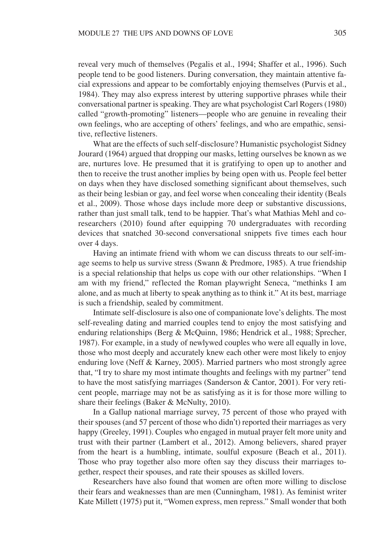reveal very much of themselves (Pegalis et al., 1994; Shaffer et al., 1996). Such people tend to be good listeners. During conversation, they maintain attentive facial expressions and appear to be comfortably enjoying themselves (Purvis et al., 1984). They may also express interest by uttering supportive phrases while their conversational partner is speaking. They are what psychologist Carl Rogers (1980) called "growth-promoting" listeners—people who are genuine in revealing their own feelings, who are accepting of others' feelings, and who are empathic, sensitive, reflective listeners.

What are the effects of such self-disclosure? Humanistic psychologist Sidney Jourard (1964) argued that dropping our masks, letting ourselves be known as we are, nurtures love. He presumed that it is gratifying to open up to another and then to receive the trust another implies by being open with us. People feel better on days when they have disclosed something significant about themselves, such as their being lesbian or gay, and feel worse when concealing their identity (Beals et al., 2009). Those whose days include more deep or substantive discussions, rather than just small talk, tend to be happier. That's what Mathias Mehl and coresearchers (2010) found after equipping 70 undergraduates with recording devices that snatched 30-second conversational snippets five times each hour over 4 days.

Having an intimate friend with whom we can discuss threats to our self-image seems to help us survive stress (Swann & Predmore, 1985). A true friendship is a special relationship that helps us cope with our other relationships. "When I am with my friend," reflected the Roman playwright Seneca, "methinks I am alone, and as much at liberty to speak anything as to think it." At its best, marriage is such a friendship, sealed by commitment.

Intimate self-disclosure is also one of companionate love's delights. The most self-revealing dating and married couples tend to enjoy the most satisfying and enduring relationships (Berg & McQuinn, 1986; Hendrick et al., 1988; Sprecher, 1987). For example, in a study of newlywed couples who were all equally in love, those who most deeply and accurately knew each other were most likely to enjoy enduring love (Neff & Karney, 2005). Married partners who most strongly agree that, "I try to share my most intimate thoughts and feelings with my partner" tend to have the most satisfying marriages (Sanderson & Cantor, 2001). For very reticent people, marriage may not be as satisfying as it is for those more willing to share their feelings (Baker & McNulty, 2010).

In a Gallup national marriage survey, 75 percent of those who prayed with their spouses (and 57 percent of those who didn't) reported their marriages as very happy (Greeley, 1991). Couples who engaged in mutual prayer felt more unity and trust with their partner (Lambert et al., 2012). Among believers, shared prayer from the heart is a humbling, intimate, soulful exposure (Beach et al., 2011). Those who pray together also more often say they discuss their marriages together, respect their spouses, and rate their spouses as skilled lovers.

Researchers have also found that women are often more willing to disclose their fears and weaknesses than are men (Cunningham, 1981). As feminist writer Kate Millett (1975) put it, "Women express, men repress." Small wonder that both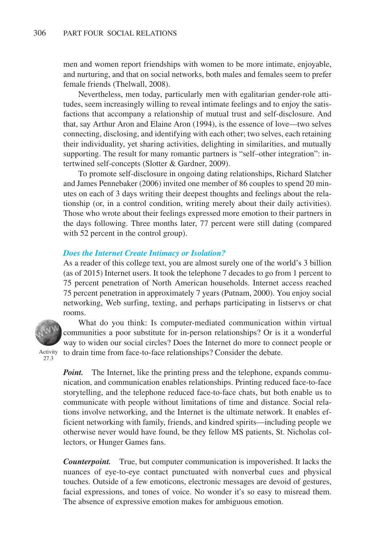men and women report friendships with women to be more intimate, enjoyable, and nurturing, and that on social networks, both males and females seem to prefer female friends (Thelwall, 2008).

Nevertheless, men today, particularly men with egalitarian gender-role attitudes, seem increasingly willing to reveal intimate feelings and to enjoy the satisfactions that accompany a relationship of mutual trust and self-disclosure. And that, say Arthur Aron and Elaine Aron (1994), is the essence of love—two selves connecting, disclosing, and identifying with each other; two selves, each retaining their individuality, yet sharing activities, delighting in similarities, and mutually supporting. The result for many romantic partners is "self–other integration": intertwined self-concepts (Slotter & Gardner, 2009).

To promote self-disclosure in ongoing dating relationships, Richard Slatcher and James Pennebaker (2006) invited one member of 86 couples to spend 20 minutes on each of 3 days writing their deepest thoughts and feelings about the relationship (or, in a control condition, writing merely about their daily activities). Those who wrote about their feelings expressed more emotion to their partners in the days following. Three months later, 77 percent were still dating (compared with 52 percent in the control group).

## *Does the Internet Create Intimacy or Isolation?*

As a reader of this college text, you are almost surely one of the world's 3 billion (as of 2015) Internet users. It took the telephone 7 decades to go from 1 percent to 75 percent penetration of North American households. Internet access reached 75 percent penetration in approximately 7 years (Putnam, 2000). You enjoy social networking, Web surfing, texting, and perhaps participating in listservs or chat rooms.



What do you think: Is computer-mediated communication within virtual communities a poor substitute for in-person relationships? Or is it a wonderful way to widen our social circles? Does the Internet do more to connect people or to drain time from face-to-face relationships? Consider the debate.

Activity 27.3

> *Point.* The Internet, like the printing press and the telephone, expands communication, and communication enables relationships. Printing reduced face-to-face storytelling, and the telephone reduced face-to-face chats, but both enable us to communicate with people without limitations of time and distance. Social relations involve networking, and the Internet is the ultimate network. It enables efficient networking with family, friends, and kindred spirits—including people we otherwise never would have found, be they fellow MS patients, St. Nicholas collectors, or Hunger Games fans.

> *Counterpoint.* True, but computer communication is impoverished. It lacks the nuances of eye-to-eye contact punctuated with nonverbal cues and physical touches. Outside of a few emoticons, electronic messages are devoid of gestures, facial expressions, and tones of voice. No wonder it's so easy to misread them. The absence of expressive emotion makes for ambiguous emotion.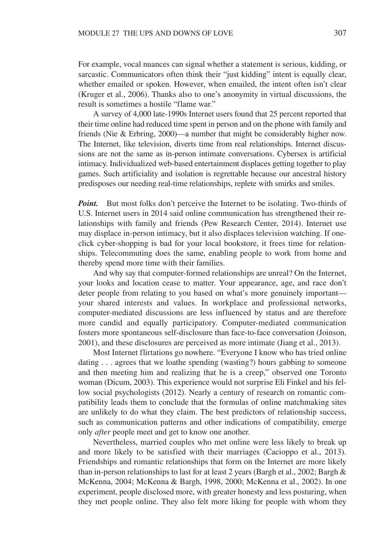For example, vocal nuances can signal whether a statement is serious, kidding, or sarcastic. Communicators often think their "just kidding" intent is equally clear, whether emailed or spoken. However, when emailed, the intent often isn't clear (Kruger et al., 2006). Thanks also to one's anonymity in virtual discussions, the result is sometimes a hostile "flame war."

A survey of 4,000 late-1990s Internet users found that 25 percent reported that their time online had reduced time spent in person and on the phone with family and friends (Nie & Erbring, 2000)—a number that might be considerably higher now. The Internet, like television, diverts time from real relationships. Internet discussions are not the same as in-person intimate conversations. Cybersex is artificial intimacy. Individualized web-based entertainment displaces getting together to play games. Such artificiality and isolation is regrettable because our ancestral history predisposes our needing real-time relationships, replete with smirks and smiles.

*Point.* But most folks don't perceive the Internet to be isolating. Two-thirds of U.S. Internet users in 2014 said online communication has strengthened their relationships with family and friends (Pew Research Center, 2014). Internet use may displace in-person intimacy, but it also displaces television watching. If oneclick cyber-shopping is bad for your local bookstore, it frees time for relationships. Telecommuting does the same, enabling people to work from home and thereby spend more time with their families.

And why say that computer-formed relationships are unreal? On the Internet, your looks and location cease to matter. Your appearance, age, and race don't deter people from relating to you based on what's more genuinely important your shared interests and values. In workplace and professional networks, computer-mediated discussions are less influenced by status and are therefore more candid and equally participatory. Computer-mediated communication fosters more spontaneous self-disclosure than face-to-face conversation (Joinson, 2001), and these disclosures are perceived as more intimate (Jiang et al., 2013).

Most Internet flirtations go nowhere. "Everyone I know who has tried online dating . . . agrees that we loathe spending (wasting?) hours gabbing to someone and then meeting him and realizing that he is a creep," observed one Toronto woman (Dicum, 2003). This experience would not surprise Eli Finkel and his fellow social psychologists (2012). Nearly a century of research on romantic compatibility leads them to conclude that the formulas of online matchmaking sites are unlikely to do what they claim. The best predictors of relationship success, such as communication patterns and other indications of compatibility, emerge only *after* people meet and get to know one another.

Nevertheless, married couples who met online were less likely to break up and more likely to be satisfied with their marriages (Cacioppo et al., 2013). Friendships and romantic relationships that form on the Internet are more likely than in-person relationships to last for at least 2 years (Bargh et al., 2002; Bargh & McKenna, 2004; McKenna & Bargh, 1998, 2000; McKenna et al., 2002). In one experiment, people disclosed more, with greater honesty and less posturing, when they met people online. They also felt more liking for people with whom they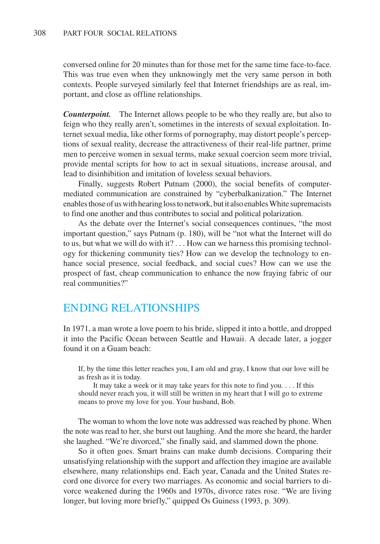conversed online for 20 minutes than for those met for the same time face-to-face. This was true even when they unknowingly met the very same person in both contexts. People surveyed similarly feel that Internet friendships are as real, important, and close as offline relationships.

*Counterpoint.* The Internet allows people to be who they really are, but also to feign who they really aren't, sometimes in the interests of sexual exploitation. Internet sexual media, like other forms of pornography, may distort people's perceptions of sexual reality, decrease the attractiveness of their real-life partner, prime men to perceive women in sexual terms, make sexual coercion seem more trivial, provide mental scripts for how to act in sexual situations, increase arousal, and lead to disinhibition and imitation of loveless sexual behaviors.

Finally, suggests Robert Putnam (2000), the social benefits of computermediated communication are constrained by "cyberbalkanization." The Internet enables those of us with hearing loss to network, but it also enables White supremacists to find one another and thus contributes to social and political polarization.

As the debate over the Internet's social consequences continues, "the most important question," says Putnam (p. 180), will be "not what the Internet will do to us, but what we will do with it? . . . How can we harness this promising technology for thickening community ties? How can we develop the technology to enhance social presence, social feedback, and social cues? How can we use the prospect of fast, cheap communication to enhance the now fraying fabric of our real communities?"

## ENDING RELATIONSHIPS

In 1971, a man wrote a love poem to his bride, slipped it into a bottle, and dropped it into the Pacific Ocean between Seattle and Hawaii. A decade later, a jogger found it on a Guam beach:

If, by the time this letter reaches you, I am old and gray, I know that our love will be as fresh as it is today.

It may take a week or it may take years for this note to find you. . . . If this should never reach you, it will still be written in my heart that I will go to extreme means to prove my love for you. Your husband, Bob.

The woman to whom the love note was addressed was reached by phone. When the note was read to her, she burst out laughing. And the more she heard, the harder she laughed. "We're divorced," she finally said, and slammed down the phone.

So it often goes. Smart brains can make dumb decisions. Comparing their unsatisfying relationship with the support and affection they imagine are available elsewhere, many relationships end. Each year, Canada and the United States record one divorce for every two marriages. As economic and social barriers to divorce weakened during the 1960s and 1970s, divorce rates rose. "We are living longer, but loving more briefly," quipped Os Guiness (1993, p. 309).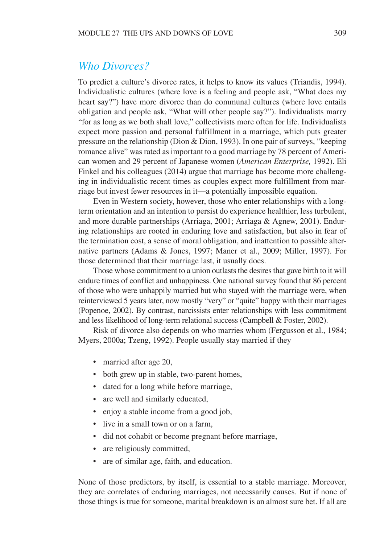## *Who Divorces?*

To predict a culture's divorce rates, it helps to know its values (Triandis, 1994). Individualistic cultures (where love is a feeling and people ask, "What does my heart say?") have more divorce than do communal cultures (where love entails obligation and people ask, "What will other people say?"). Individualists marry "for as long as we both shall love," collectivists more often for life. Individualists expect more passion and personal fulfillment in a marriage, which puts greater pressure on the relationship (Dion & Dion, 1993). In one pair of surveys, "keeping romance alive" was rated as important to a good marriage by 78 percent of American women and 29 percent of Japanese women (*American Enterprise,* 1992). Eli Finkel and his colleagues (2014) argue that marriage has become more challenging in individualistic recent times as couples expect more fulfillment from marriage but invest fewer resources in it—a potentially impossible equation.

Even in Western society, however, those who enter relationships with a longterm orientation and an intention to persist do experience healthier, less turbulent, and more durable partnerships (Arriaga, 2001; Arriaga & Agnew, 2001). Enduring relationships are rooted in enduring love and satisfaction, but also in fear of the termination cost, a sense of moral obligation, and inattention to possible alternative partners (Adams & Jones, 1997; Maner et al., 2009; Miller, 1997). For those determined that their marriage last, it usually does.

Those whose commitment to a union outlasts the desires that gave birth to it will endure times of conflict and unhappiness. One national survey found that 86 percent of those who were unhappily married but who stayed with the marriage were, when reinterviewed 5 years later, now mostly "very" or "quite" happy with their marriages (Popenoe, 2002). By contrast, narcissists enter relationships with less commitment and less likelihood of long-term relational success (Campbell & Foster, 2002).

Risk of divorce also depends on who marries whom (Fergusson et al., 1984; Myers, 2000a; Tzeng, 1992). People usually stay married if they

- ∙ married after age 20,
- ∙ both grew up in stable, two-parent homes,
- ∙ dated for a long while before marriage,
- ∙ are well and similarly educated,
- ∙ enjoy a stable income from a good job,
- ∙ live in a small town or on a farm,
- ∙ did not cohabit or become pregnant before marriage,
- ∙ are religiously committed,
- ∙ are of similar age, faith, and education.

None of those predictors, by itself, is essential to a stable marriage. Moreover, they are correlates of enduring marriages, not necessarily causes. But if none of those things is true for someone, marital breakdown is an almost sure bet. If all are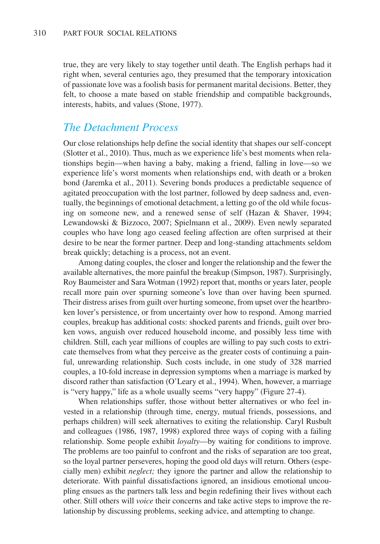true, they are very likely to stay together until death. The English perhaps had it right when, several centuries ago, they presumed that the temporary intoxication of passionate love was a foolish basis for permanent marital decisions. Better, they felt, to choose a mate based on stable friendship and compatible backgrounds, interests, habits, and values (Stone, 1977).

## *The Detachment Process*

Our close relationships help define the social identity that shapes our self-concept (Slotter et al., 2010). Thus, much as we experience life's best moments when relationships begin—when having a baby, making a friend, falling in love—so we experience life's worst moments when relationships end, with death or a broken bond (Jaremka et al., 2011). Severing bonds produces a predictable sequence of agitated preoccupation with the lost partner, followed by deep sadness and, eventually, the beginnings of emotional detachment, a letting go of the old while focusing on someone new, and a renewed sense of self (Hazan & Shaver, 1994; Lewandowski & Bizzoco, 2007; Spielmann et al., 2009). Even newly separated couples who have long ago ceased feeling affection are often surprised at their desire to be near the former partner. Deep and long-standing attachments seldom break quickly; detaching is a process, not an event.

Among dating couples, the closer and longer the relationship and the fewer the available alternatives, the more painful the breakup (Simpson, 1987). Surprisingly, Roy Baumeister and Sara Wotman (1992) report that, months or years later, people recall more pain over spurning someone's love than over having been spurned. Their distress arises from guilt over hurting someone, from upset over the heartbroken lover's persistence, or from uncertainty over how to respond. Among married couples, breakup has additional costs: shocked parents and friends, guilt over broken vows, anguish over reduced household income, and possibly less time with children. Still, each year millions of couples are willing to pay such costs to extricate themselves from what they perceive as the greater costs of continuing a painful, unrewarding relationship. Such costs include, in one study of 328 married couples, a 10-fold increase in depression symptoms when a marriage is marked by discord rather than satisfaction (O'Leary et al., 1994). When, however, a marriage is "very happy," life as a whole usually seems "very happy" (Figure 27-4).

When relationships suffer, those without better alternatives or who feel invested in a relationship (through time, energy, mutual friends, possessions, and perhaps children) will seek alternatives to exiting the relationship. Caryl Rusbult and colleagues (1986, 1987, 1998) explored three ways of coping with a failing relationship. Some people exhibit *loyalty*—by waiting for conditions to improve. The problems are too painful to confront and the risks of separation are too great, so the loyal partner perseveres, hoping the good old days will return. Others (especially men) exhibit *neglect;* they ignore the partner and allow the relationship to deteriorate. With painful dissatisfactions ignored, an insidious emotional uncoupling ensues as the partners talk less and begin redefining their lives without each other. Still others will *voice* their concerns and take active steps to improve the relationship by discussing problems, seeking advice, and attempting to change.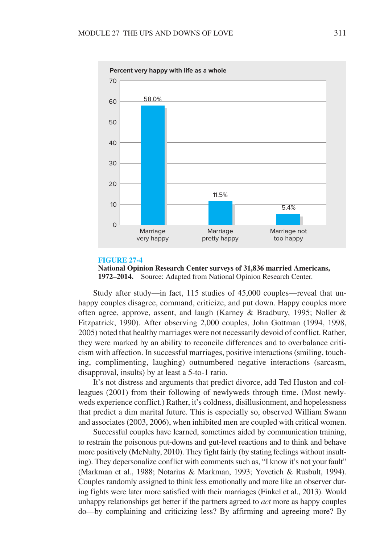

**National Opinion Research Center surveys of 31,836 married Americans, 1972–2014.** Source: Adapted from National Opinion Research Center.

Study after study—in fact, 115 studies of 45,000 couples—reveal that unhappy couples disagree, command, criticize, and put down. Happy couples more often agree, approve, assent, and laugh (Karney & Bradbury, 1995; Noller & Fitzpatrick, 1990). After observing 2,000 couples, John Gottman (1994, 1998, 2005) noted that healthy marriages were not necessarily devoid of conflict. Rather, they were marked by an ability to reconcile differences and to overbalance criticism with affection. In successful marriages, positive interactions (smiling, touching, complimenting, laughing) outnumbered negative interactions (sarcasm, disapproval, insults) by at least a 5-to-1 ratio.

It's not distress and arguments that predict divorce, add Ted Huston and colleagues (2001) from their following of newlyweds through time. (Most newlyweds experience conflict.) Rather, it's coldness, disillusionment, and hopelessness that predict a dim marital future. This is especially so, observed William Swann and associates (2003, 2006), when inhibited men are coupled with critical women.

Successful couples have learned, sometimes aided by communication training, to restrain the poisonous put-downs and gut-level reactions and to think and behave more positively (McNulty, 2010). They fight fairly (by stating feelings without insulting). They depersonalize conflict with comments such as, "I know it's not your fault" (Markman et al., 1988; Notarius & Markman, 1993; Yovetich & Rusbult, 1994). Couples randomly assigned to think less emotionally and more like an observer during fights were later more satisfied with their marriages (Finkel et al., 2013). Would unhappy relationships get better if the partners agreed to *act* more as happy couples do—by complaining and criticizing less? By affirming and agreeing more? By